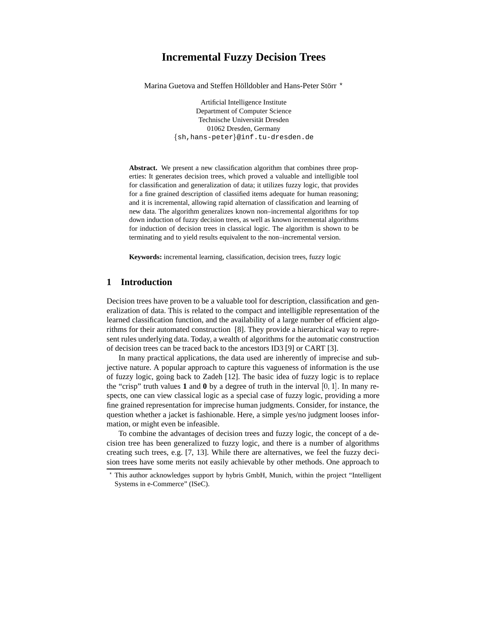# **Incremental Fuzzy Decision Trees**

Marina Guetova and Steffen Hölldobler and Hans-Peter Störr<sup>\*</sup>

Artificial Intelligence Institute Department of Computer Science Technische Universität Dresden 01062 Dresden, Germany sh,hans-peter@inf.tu-dresden.de

**Abstract.** We present a new classification algorithm that combines three properties: It generates decision trees, which proved a valuable and intelligible tool for classification and generalization of data; it utilizes fuzzy logic, that provides for a fine grained description of classified items adequate for human reasoning; and it is incremental, allowing rapid alternation of classification and learning of new data. The algorithm generalizes known non–incremental algorithms for top down induction of fuzzy decision trees, as well as known incremental algorithms for induction of decision trees in classical logic. The algorithm is shown to be terminating and to yield results equivalent to the non–incremental version.

**Keywords:** incremental learning, classification, decision trees, fuzzy logic

## **1 Introduction**

Decision trees have proven to be a valuable tool for description, classification and generalization of data. This is related to the compact and intelligible representation of the learned classification function, and the availability of a large number of efficient algorithms for their automated construction [8]. They provide a hierarchical way to represent rules underlying data. Today, a wealth of algorithms for the automatic construction of decision trees can be traced back to the ancestors ID3 [9] or CART [3].

In many practical applications, the data used are inherently of imprecise and subjective nature. A popular approach to capture this vagueness of information is the use of fuzzy logic, going back to Zadeh [12]. The basic idea of fuzzy logic is to replace the "crisp" truth values **1** and **0** by a degree of truth in the interval  $[0, 1]$ . In many respects, one can view classical logic as a special case of fuzzy logic, providing a more fine grained representation for imprecise human judgments. Consider, for instance, the question whether a jacket is fashionable. Here, a simple yes/no judgment looses information, or might even be infeasible.

To combine the advantages of decision trees and fuzzy logic, the concept of a decision tree has been generalized to fuzzy logic, and there is a number of algorithms creating such trees, e.g. [7, 13]. While there are alternatives, we feel the fuzzy decision trees have some merits not easily achievable by other methods. One approach to

This author acknowledges support by hybris GmbH, Munich, within the project "Intelligent Systems in e-Commerce" (ISeC).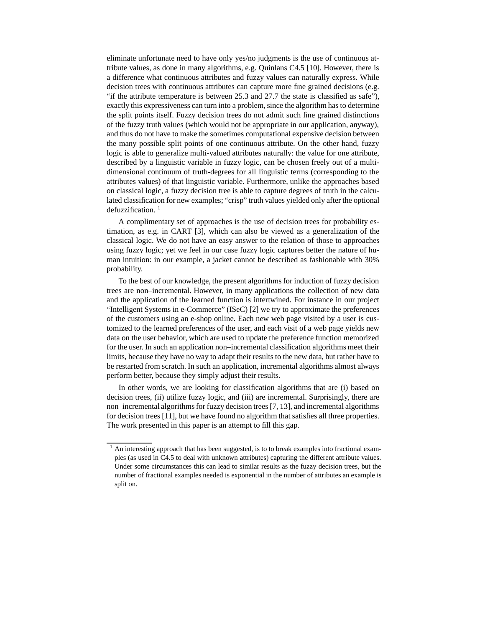eliminate unfortunate need to have only yes/no judgments is the use of continuous attribute values, as done in many algorithms, e.g. Quinlans C4.5 [10]. However, there is a difference what continuous attributes and fuzzy values can naturally express. While decision trees with continuous attributes can capture more fine grained decisions (e.g. "if the attribute temperature is between 25.3 and 27.7 the state is classified as safe"), exactly this expressiveness can turn into a problem, since the algorithm has to determine the split points itself. Fuzzy decision trees do not admit such fine grained distinctions of the fuzzy truth values (which would not be appropriate in our application, anyway), and thus do not have to make the sometimes computational expensive decision between the many possible split points of one continuous attribute. On the other hand, fuzzy logic is able to generalize multi-valued attributes naturally: the value for one attribute, described by a linguistic variable in fuzzy logic, can be chosen freely out of a multidimensional continuum of truth-degrees for all linguistic terms (corresponding to the attributes values) of that linguistic variable. Furthermore, unlike the approaches based on classical logic, a fuzzy decision tree is able to capture degrees of truth in the calculated classification for new examples; "crisp" truth values yielded only after the optional defuzzification.<sup>1</sup>

A complimentary set of approaches is the use of decision trees for probability estimation, as e.g. in CART [3], which can also be viewed as a generalization of the classical logic. We do not have an easy answer to the relation of those to approaches using fuzzy logic; yet we feel in our case fuzzy logic captures better the nature of human intuition: in our example, a jacket cannot be described as fashionable with 30% probability.

To the best of our knowledge, the present algorithms for induction of fuzzy decision trees are non–incremental. However, in many applications the collection of new data and the application of the learned function is intertwined. For instance in our project "Intelligent Systems in e-Commerce" (ISeC) [2] we try to approximate the preferences of the customers using an e-shop online. Each new web page visited by a user is customized to the learned preferences of the user, and each visit of a web page yields new data on the user behavior, which are used to update the preference function memorized for the user. In such an application non–incremental classification algorithms meet their limits, because they have no way to adapt their results to the new data, but rather have to be restarted from scratch. In such an application, incremental algorithms almost always perform better, because they simply adjust their results.

In other words, we are looking for classification algorithms that are (i) based on decision trees, (ii) utilize fuzzy logic, and (iii) are incremental. Surprisingly, there are non–incremental algorithms for fuzzy decision trees [7, 13], and incremental algorithms for decision trees [11], but we have found no algorithm that satisfies all three properties. The work presented in this paper is an attempt to fill this gap.

<sup>&</sup>lt;sup>1</sup> An interesting approach that has been suggested, is to to break examples into fractional examples (as used in C4.5 to deal with unknown attributes) capturing the different attribute values. Under some circumstances this can lead to similar results as the fuzzy decision trees, but the number of fractional examples needed is exponential in the number of attributes an example is split on.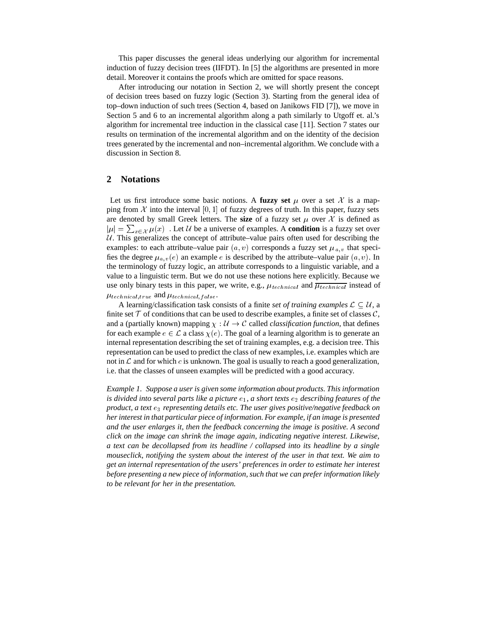This paper discusses the general ideas underlying our algorithm for incremental induction of fuzzy decision trees (IIFDT). In [5] the algorithms are presented in more detail. Moreover it contains the proofs which are omitted for space reasons.

After introducing our notation in Section 2, we will shortly present the concept of decision trees based on fuzzy logic (Section 3). Starting from the general idea of top–down induction of such trees (Section 4, based on Janikows FID [7]), we move in Section 5 and 6 to an incremental algorithm along a path similarly to Utgoff et. al.'s algorithm for incremental tree induction in the classical case [11]. Section 7 states our results on termination of the incremental algorithm and on the identity of the decision trees generated by the incremental and non–incremental algorithm. We conclude with a discussion in Section 8.

### **2 Notations**

Let us first introduce some basic notions. A **fuzzy set**  $\mu$  over a set  $\chi$  is a mapping from  $\mathcal X$  into the interval  $[0,1]$  of fuzzy degrees of truth. In this paper, fuzzy sets are denoted by small Greek letters. The **size** of a fuzzy set  $\mu$  over  $\chi$  is defined as  $|\mu| = \sum_{x \in \mathcal{X}} \mu(x)$  . Let U be a universe of examples. A **condition** is a fuzzy set over  $U$ . This generalizes the concept of attribute–value pairs often used for describing the examples: to each attribute–value pair  $(a, v)$  corresponds a fuzzy set  $\mu_{a, v}$  that specifies the degree  $\mu_{a,v}(e)$  an example e is described by the attribute–value pair  $(a, v)$ . In the terminology of fuzzy logic, an attribute corresponds to a linguistic variable, and a value to a linguistic term. But we do not use these notions here explicitly. Because we use only binary tests in this paper, we write, e.g.,  $\mu_{\text{technical}}$  and  $\overline{\mu_{\text{technical}}}$  instead of  $\mu_{technical,true}$  and  $\mu_{technical>false}$ .

A learning/classification task consists of a finite *set of training examples*  $\mathcal{L} \subseteq \mathcal{U}$ , a finite set  $T$  of conditions that can be used to describe examples, a finite set of classes  $C$ , and a (partially known) mapping  $\chi : \mathcal{U} \to \mathcal{C}$  called *classification function*, that defines for each example  $e \in \mathcal{L}$  a class  $\chi(e)$ . The goal of a learning algorithm is to generate an internal representation describing the set of training examples, e.g. a decision tree. This representation can be used to predict the class of new examples, i.e. examples which are not in  $\mathcal L$  and for which c is unknown. The goal is usually to reach a good generalization, i.e. that the classes of unseen examples will be predicted with a good accuracy.

*Example 1. Suppose a user is given some information about products. This information is divided into several parts like a picture*  $e_1$ , *a short texts*  $e_2$  *describing features of the* product, a text  $e_3$  representing details etc. The user gives positive/negative feedback on *her interest in that particular piece of information. For example, if an image is presented and the user enlarges it, then the feedback concerning the image is positive. A second click on the image can shrink the image again, indicating negative interest. Likewise, a text can be decollapsed from its headline / collapsed into its headline by a single mouseclick, notifying the system about the interest of the user in that text. We aim to get an internal representation of the users' preferences in order to estimate her interest before presenting a new piece of information, such that we can prefer information likely to be relevant for her in the presentation.*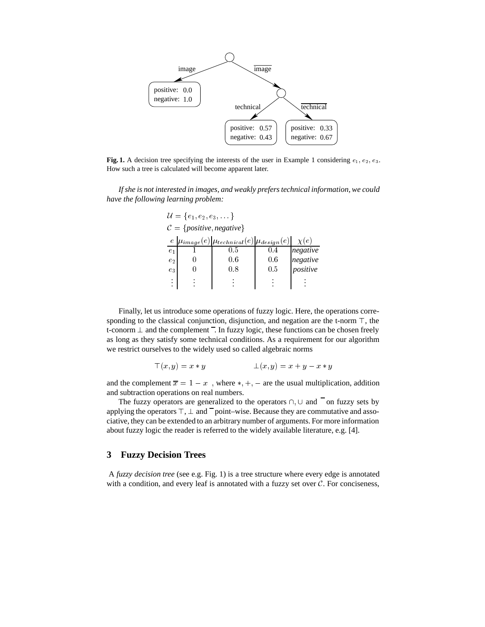

**Fig. 1.** A decision tree specifying the interests of the user in Example 1 considering  $e_1, e_2, e_3$ . How such a tree is calculated will become apparent later.

*If she is not interested in images, and weakly prefers technical information, we could have the following learning problem:*

| $\mathcal{U} = \{e_1, e_2, e_3, \dots\}$ |  |                                                                                     |     |           |  |  |  |  |  |
|------------------------------------------|--|-------------------------------------------------------------------------------------|-----|-----------|--|--|--|--|--|
| $C = \{positive, negative\}$             |  |                                                                                     |     |           |  |  |  |  |  |
|                                          |  | $e \left[ \mu_{image}(e) \right] \mu_{technical}(e) \left[ \mu_{design}(e) \right]$ |     | $\chi(e)$ |  |  |  |  |  |
| $e_1$                                    |  | 0.5                                                                                 | 0.4 | negative  |  |  |  |  |  |
| $e_2$                                    |  | 0.6                                                                                 | 0.6 | negative  |  |  |  |  |  |
| $e_3$                                    |  | 0.8                                                                                 | 0.5 | positive  |  |  |  |  |  |
| $\vdots$                                 |  |                                                                                     |     |           |  |  |  |  |  |
|                                          |  |                                                                                     |     |           |  |  |  |  |  |

Finally, let us introduce some operations of fuzzy logic. Here, the operations corresponding to the classical conjunction, disjunction, and negation are the t-norm  $\top$ , the t-conorm  $\perp$  and the complement  $\overline{\phantom{a}}$ . In fuzzy logic, these functions can be chosen freely as long as they satisfy some technical conditions. As a requirement for our algorithm we restrict ourselves to the widely used so called algebraic norms

$$
\top(x,y) = x * y \qquad \qquad \bot(x,y) = x + y - x * y
$$

and the complement  $\overline{x} = 1 - x$ , where  $*, +, -$  are the usual multiplication, addition and subtraction operations on real numbers.

The fuzzy operators are generalized to the operators  $\cap$ ,  $\cup$  and  $\overline{\hspace{1cm}}$  on fuzzy sets by applying the operators  $\top$ ,  $\bot$  and  $\top$  point–wise. Because they are commutative and associative, they can be extended to an arbitrary number of arguments. For more information about fuzzy logic the reader is referred to the widely available literature, e.g. [4].

# **3 Fuzzy Decision Trees**

A *fuzzy decision tree* (see e.g. Fig. 1) is a tree structure where every edge is annotated with a condition, and every leaf is annotated with a fuzzy set over  $C$ . For conciseness,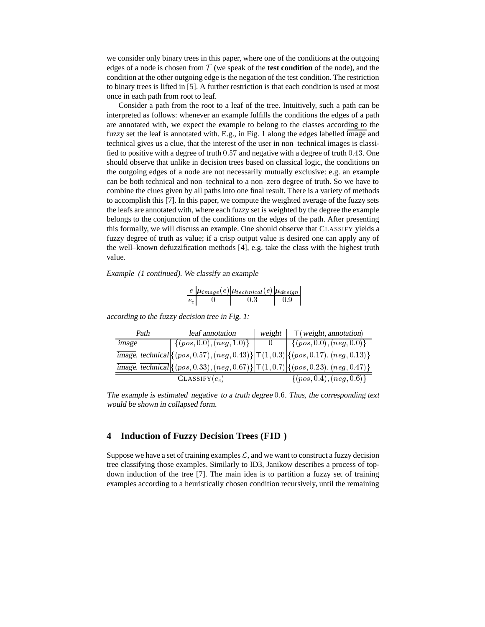we consider only binary trees in this paper, where one of the conditions at the outgoing edges of a node is chosen from  $T$  (we speak of the **test condition** of the node), and the condition at the other outgoing edge is the negation of the test condition. The restriction to binary trees is lifted in [5]. A further restriction is that each condition is used at most once in each path from root to leaf.

Consider a path from the root to a leaf of the tree. Intuitively, such a path can be interpreted as follows: whenever an example fulfills the conditions the edges of a path are annotated with, we expect the example to belong to the classes according to the fuzzy set the leaf is annotated with. E.g., in Fig. 1 along the edges labelled image and technical gives us a clue, that the interest of the user in non–technical images is classified to positive with a degree of truth  $0.57$  and negative with a degree of truth  $0.43$ . One should observe that unlike in decision trees based on classical logic, the conditions on the outgoing edges of a node are not necessarily mutually exclusive: e.g. an example can be both technical and non–technical to a non–zero degree of truth. So we have to combine the clues given by all paths into one final result. There is a variety of methods to accomplish this [7]. In this paper, we compute the weighted average of the fuzzy sets the leafs are annotated with, where each fuzzy set is weighted by the degree the example belongs to the conjunction of the conditions on the edges of the path. After presenting this formally, we will discuss an example. One should observe that CLASSIFY yields a fuzzy degree of truth as value; if a crisp output value is desired one can apply any of the well–known defuzzification methods [4], e.g. take the class with the highest truth value.

*Example (1 continued).* We classify an example

|  | $e\left[\mu_{image}(e)\right]\mu_{technical}(e)\left[\mu_{design}\right]$ |  |
|--|---------------------------------------------------------------------------|--|
|  | 03                                                                        |  |

according to the fuzzy decision tree in Fig. 1:

| Path            | leaf annotation |                               | weight $\top$ (weight, annotation)                                                                                                                 |
|-----------------|-----------------|-------------------------------|----------------------------------------------------------------------------------------------------------------------------------------------------|
|                 |                 |                               |                                                                                                                                                    |
|                 |                 |                               | $\boxed{\frac{\{(pos, 0.0), (neg, 1.0)\}}{\text{image, technical}\{(pos, 0.57), (neg, 0.43)\}\bigcap\{ (pos, 0.3)\}\{(pos, 0.17), (neg, 0.13)\}}}$ |
|                 |                 |                               | $\overline{\text{image}}, \overline{\text{technical}} \{ (pos, 0.33), (neg, 0.67) \}   \tau(1, 0.7)   \{ (pos, 0.23), (neg, 0.47) \}$              |
| $CLASSIFY(e_c)$ |                 | $\{(pos, 0.4), (neg, 0.6)\}\$ |                                                                                                                                                    |

The example is estimated negative to a truth degree  $0.6$ . Thus, the corresponding text would be shown in collapsed form.

### **4 Induction of Fuzzy Decision Trees (FID )**

Suppose we have a set of training examples  $\mathcal{L}$ , and we want to construct a fuzzy decision tree classifying those examples. Similarly to ID3, Janikow describes a process of topdown induction of the tree [7]. The main idea is to partition a fuzzy set of training examples according to a heuristically chosen condition recursively, until the remaining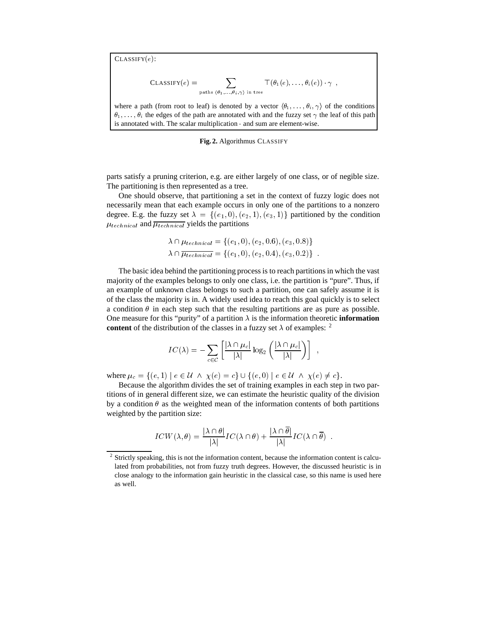$CLASSIFY(e)$ :

$$
\text{CLASSIFY}(e) = \sum_{\text{paths } \langle \theta_1, \ldots, \theta_i, \gamma \rangle \text{ in tree}} \top(\theta_1(e), \ldots, \theta_i(e)) \cdot \gamma ,
$$

where a path (from root to leaf) is denoted by a vector  $\langle \theta_1, \ldots, \theta_i, \gamma \rangle$  of the conditions  $\theta_1, \ldots, \theta_i$  the edges of the path are annotated with and the fuzzy set  $\gamma$  the leaf of this path is annotated with. The scalar multiplication and sum are element-wise.

#### **Fig. 2.** Algorithmus CLASSIFY

parts satisfy a pruning criterion, e.g. are either largely of one class, or of negible size. The partitioning is then represented as a tree.

One should observe, that partitioning a set in the context of fuzzy logic does not necessarily mean that each example occurs in only one of the partitions to a nonzero degree. E.g. the fuzzy set  $\lambda = \{(e_1, 0), (e_2, 1), (e_3, 1)\}\$  partitioned by the condition  $\mu_{technical}$  and  $\overline{\mu_{technical}}$  yields the partitions

$$
\lambda \cap \mu_{technical} = \{ (e_1, 0), (e_2, 0.6), (e_3, 0.8) \}
$$
  

$$
\lambda \cap \mu_{technical} = \{ (e_1, 0), (e_2, 0.4), (e_3, 0.2) \}.
$$

 $\mathbb{R}^2$ 

The basic idea behind the partitioning process is to reach partitions in which the vast majority of the examples belongs to only one class, i.e. the partition is "pure". Thus, if an example of unknown class belongs to such a partition, one can safely assume it is of the class the majority is in. A widely used idea to reach this goal quickly is to select a condition  $\theta$  in each step such that the resulting partitions are as pure as possible. One measure for this "purity" of a partition  $\lambda$  is the information theoretic **information content** of the distribution of the classes in a fuzzy set  $\lambda$  of examples: <sup>2</sup>

$$
IC(\lambda) = -\sum_{c \in C} \left[ \frac{|\lambda \cap \mu_c|}{|\lambda|} \log_2 \left( \frac{|\lambda \cap \mu_c|}{|\lambda|} \right) \right] ,
$$

where  $\mu_c = \{(e,1) \mid e \in \mathcal{U} \land \chi(e) = c\} \cup \{(e,0) \mid e \in \mathcal{U} \land \chi(e) \neq c\}.$ 

Because the algorithm divides the set of training examples in each step in two partitions of in general different size, we can estimate the heuristic quality of the division by a condition  $\theta$  as the weighted mean of the information contents of both partitions weighted by the partition size:

$$
ICW(\lambda, \theta) = \frac{|\lambda \cap \theta|}{|\lambda|} IC(\lambda \cap \theta) + \frac{|\lambda \cap \overline{\theta}|}{|\lambda|} IC(\lambda \cap \overline{\theta}).
$$

<sup>&</sup>lt;sup>2</sup> Strictly speaking, this is not the information content, because the information content is calculated from probabilities, not from fuzzy truth degrees. However, the discussed heuristic is in close analogy to the information gain heuristic in the classical case, so this name is used here as well.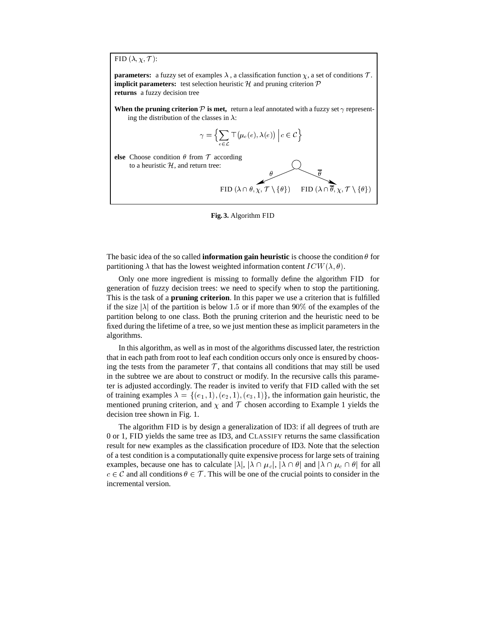FID  $(\lambda, \chi, \mathcal{T})$ :

**parameters:** a fuzzy set of examples  $\lambda$ , a classification function  $\chi$ , a set of conditions  $\mathcal{T}$ . **implicit parameters:** test selection heuristic  $H$  and pruning criterion  $P$ **returns** a fuzzy decision tree

**When the pruning criterion**  $P$  is met, return a leaf annotated with a fuzzy set  $\gamma$  representing the distribution of the classes in  $\lambda$ :

$$
\gamma = \Bigl\{\sum_{e \in \mathcal{L}} \top (\mu_c(e), \lambda(e)) \Bigm| c \in \mathcal{C}\Bigr\}
$$

**else** Choose condition  $\theta$  from  $\mathcal T$  according to a heuristic  $H$ , and return tree:

**Fig. 3.** Algorithm FID

FID  $(\lambda \cap \theta, \chi, \mathcal{T})$ 

 $\setminus \{\theta\}$ 

FID  $(\lambda \cap \overline{\theta})$ 

-

 -

The basic idea of the so called **information gain heuristic** is choose the condition  $\theta$  for partitioning  $\lambda$  that has the lowest weighted information content  $ICW(\lambda, \theta)$ .

Only one more ingredient is missing to formally define the algorithm FID for generation of fuzzy decision trees: we need to specify when to stop the partitioning. This is the task of a **pruning criterion**. In this paper we use a criterion that is fulfilled if the size  $|\lambda|$  of the partition is below 1.5 or if more than 90% of the examples of the partition belong to one class. Both the pruning criterion and the heuristic need to be fixed during the lifetime of a tree, so we just mention these as implicit parameters in the algorithms.

In this algorithm, as well as in most of the algorithms discussed later, the restriction that in each path from root to leaf each condition occurs only once is ensured by choosing the tests from the parameter  $\mathcal T$ , that contains all conditions that may still be used in the subtree we are about to construct or modify. In the recursive calls this parameter is adjusted accordingly. The reader is invited to verify that FID called with the set of training examples  $\lambda = \{(e_1, 1), (e_2, 1), (e_3, 1)\}\$ , the information gain heuristic, the mentioned pruning criterion, and  $\chi$  and  $\tau$  chosen according to Example 1 yields the decision tree shown in Fig. 1.

The algorithm FID is by design a generalization of ID3: if all degrees of truth are 0 or 1, FID yields the same tree as ID3, and CLASSIFY returns the same classification result for new examples as the classification procedure of ID3. Note that the selection of a test condition is a computationally quite expensive process for large sets of training examples, because one has to calculate  $|\lambda|, |\lambda \cap \mu_c|, |\lambda \cap \theta|$  and  $|\lambda \cap \mu_c \cap \theta|$  for all  $c \in \mathcal{C}$  and all conditions  $\theta \in \mathcal{T}$ . This will be one of the crucial points to consider in the incremental version.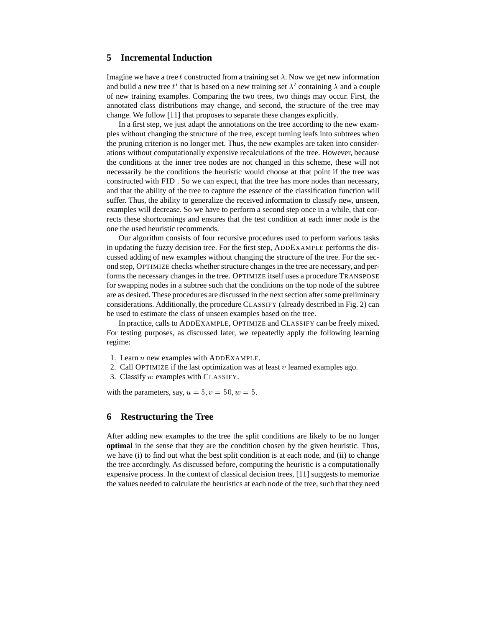# **5 Incremental Induction**

Imagine we have a tree t constructed from a training set  $\lambda$ . Now we get new information and build a new tree t' that is based on a new training set  $\lambda'$  containing  $\lambda$  and a couple of new training examples. Comparing the two trees, two things may occur. First, the annotated class distributions may change, and second, the structure of the tree may change. We follow [11] that proposes to separate these changes explicitly.

In a first step, we just adapt the annotations on the tree according to the new examples without changing the structure of the tree, except turning leafs into subtrees when the pruning criterion is no longer met. Thus, the new examples are taken into considerations without computationally expensive recalculations of the tree. However, because the conditions at the inner tree nodes are not changed in this scheme, these will not necessarily be the conditions the heuristic would choose at that point if the tree was constructed with FID . So we can expect, that the tree has more nodes than necessary, and that the ability of the tree to capture the essence of the classification function will suffer. Thus, the ability to generalize the received information to classify new, unseen, examples will decrease. So we have to perform a second step once in a while, that corrects these shortcomings and ensures that the test condition at each inner node is the one the used heuristic recommends.

Our algorithm consists of four recursive procedures used to perform various tasks in updating the fuzzy decision tree. For the first step, ADDEXAMPLE performs the discussed adding of new examples without changing the structure of the tree. For the second step, OPTIMIZE checks whether structure changes in the tree are necessary, and performs the necessary changes in the tree. OPTIMIZE itself uses a procedure TRANSPOSE for swapping nodes in a subtree such that the conditions on the top node of the subtree are as desired. These procedures are discussed in the next section after some preliminary considerations. Additionally, the procedure CLASSIFY (already described in Fig. 2) can be used to estimate the class of unseen examples based on the tree.

In practice, calls to ADDEXAMPLE, OPTIMIZE and CLASSIFY can be freely mixed. For testing purposes, as discussed later, we repeatedly apply the following learning regime:

- 1. Learn  $u$  new examples with ADDEXAMPLE.
- 2. Call OPTIMIZE if the last optimization was at least  $v$  learned examples ago.
- 3. Classify  $w$  examples with CLASSIFY.

with the parameters, say,  $u = 5$ ,  $v = 50$ ,  $w = 5$ .

### **6 Restructuring the Tree**

After adding new examples to the tree the split conditions are likely to be no longer **optimal** in the sense that they are the condition chosen by the given heuristic. Thus, we have (i) to find out what the best split condition is at each node, and (ii) to change the tree accordingly. As discussed before, computing the heuristic is a computationally expensive process. In the context of classical decision trees, [11] suggests to memorize the values needed to calculate the heuristics at each node of the tree, such that they need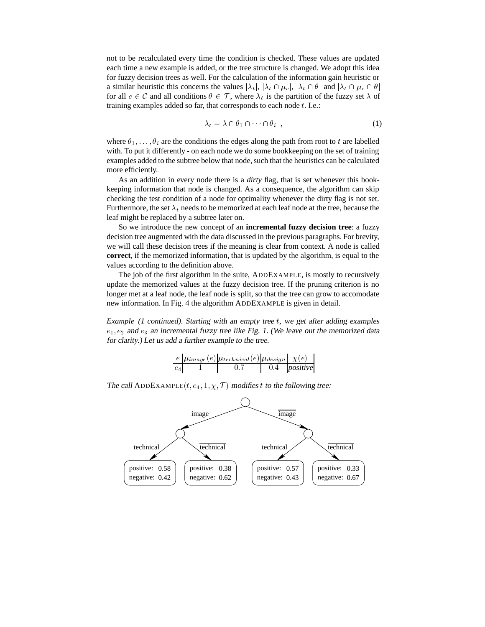not to be recalculated every time the condition is checked. These values are updated each time a new example is added, or the tree structure is changed. We adopt this idea for fuzzy decision trees as well. For the calculation of the information gain heuristic or a similar heuristic this concerns the values  $|\lambda_t|, |\lambda_t \cap \mu_c|, |\lambda_t \cap \theta|$  and  $|\lambda_t \cap \mu_c \cap \theta|$ for all  $c \in \mathcal{C}$  and all conditions  $\theta \in \mathcal{T}$ , where  $\lambda_t$  is the partition of the fuzzy set  $\lambda$  of training examples added so far, that corresponds to each node  $t$ . I.e.:

$$
\lambda_t = \lambda \cap \theta_1 \cap \cdots \cap \theta_i \tag{1}
$$

where  $\theta_1, \ldots, \theta_i$  are the conditions the edges along the path from root to t are labelled with. To put it differently - on each node we do some bookkeeping on the set of training examples added to the subtree below that node, such that the heuristics can be calculated more efficiently.

As an addition in every node there is a *dirty* flag, that is set whenever this bookkeeping information that node is changed. As a consequence, the algorithm can skip checking the test condition of a node for optimality whenever the dirty flag is not set. Furthermore, the set  $\lambda_t$  needs to be memorized at each leaf node at the tree, because the leaf might be replaced by a subtree later on.

So we introduce the new concept of an **incremental fuzzy decision tree**: a fuzzy decision tree augmented with the data discussed in the previous paragraphs. For brevity, we will call these decision trees if the meaning is clear from context. A node is called **correct**, if the memorized information, that is updated by the algorithm, is equal to the values according to the definition above.

The job of the first algorithm in the suite, ADDEXAMPLE, is mostly to recursively update the memorized values at the fuzzy decision tree. If the pruning criterion is no longer met at a leaf node, the leaf node is split, so that the tree can grow to accomodate new information. In Fig. 4 the algorithm ADDEXAMPLE is given in detail.

*Example (1 continued).* Starting with an empty tree t, we get after adding examples  $e_1, e_2$  and  $e_3$  an incremental fuzzy tree like Fig. 1. (We leave out the memorized data for clarity.) Let us add <sup>a</sup> further example to the tree.

$$
\frac{e\ \mu_{image}(e)\ \mu_{technical}(e)\ \mu_{design} \mid \chi(e)}{1 \quad 0.7 \quad 0.4 \quad positive}
$$

The call ADDEXAMPLE $(t, e_4, 1, \chi, \mathcal{T})$  modifies t to the following tree:

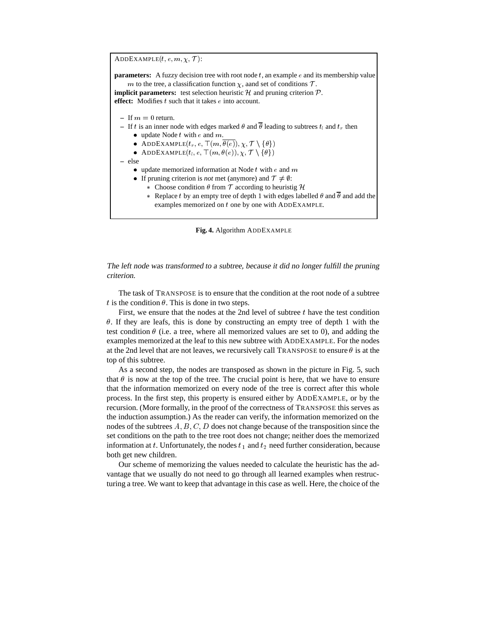ADDEXAMPLE $(t, e, m, \chi, \mathcal{T})$ :

**parameters:** A fuzzy decision tree with root node  $t$ , an example  $e$  and its membership value m to the tree, a classification function  $\chi$ , aand set of conditions  $\mathcal{T}$ . **implicit parameters:** test selection heuristic  $H$  and pruning criterion  $P$ . **effect:** Modifies  $t$  such that it takes  $e$  into account.  $-$  If  $m = 0$  return.  $-$  If t is an inner node with edges marked  $\theta$  and  $\theta$  leading to subtrees  $t_i$  and  $t_r$  then • update Node  $t$  with  $e$  and  $m$ . • ADDEXAMPLE $(t_r, e, \top(m, \theta(e)), \chi, \mathcal{T} \setminus \{\theta\})$ • ADDEXAMPLE $(t_l, e, \top(m, \theta(e)), \chi, \mathcal{T} \setminus \{\theta\})$ **–** else

• update memorized information at Node  $t$  with  $e$  and  $m$ 

- If pruning criterion is *not* met (anymore) and  $\mathcal{T} \neq \emptyset$ :
	- $*$  Choose condition  $\theta$  from  $\mathcal T$  according to heuristig  $\mathcal H$
	- \* Replace t by an empty tree of depth 1 with edges labelled  $\theta$  and  $\theta$  and add the examples memorized on  $t$  one by one with ADDEXAMPLE.



The left node was transformed to <sup>a</sup> subtree, because it did no longer fulfill the pruning criterion.

The task of TRANSPOSE is to ensure that the condition at the root node of a subtree t is the condition  $\theta$ . This is done in two steps.

First, we ensure that the nodes at the 2nd level of subtree  $t$  have the test condition  $\theta$ . If they are leafs, this is done by constructing an empty tree of depth 1 with the test condition  $\theta$  (i.e. a tree, where all memorized values are set to 0), and adding the examples memorized at the leaf to this new subtree with ADDEXAMPLE. For the nodes at the 2nd level that are not leaves, we recursively call TRANSPOSE to ensure  $\theta$  is at the top of this subtree.

As a second step, the nodes are transposed as shown in the picture in Fig. 5, such that  $\theta$  is now at the top of the tree. The crucial point is here, that we have to ensure that the information memorized on every node of the tree is correct after this whole process. In the first step, this property is ensured either by ADDEXAMPLE, or by the recursion. (More formally, in the proof of the correctness of TRANSPOSE this serves as the induction assumption.) As the reader can verify, the information memorized on the nodes of the subtrees  $A, B, C, D$  does not change because of the transposition since the set conditions on the path to the tree root does not change; neither does the memorized information at t. Unfortunately, the nodes  $t_1$  and  $t_2$  need further consideration, because both get new children.

Our scheme of memorizing the values needed to calculate the heuristic has the advantage that we usually do not need to go through all learned examples when restructuring a tree. We want to keep that advantage in this case as well. Here, the choice of the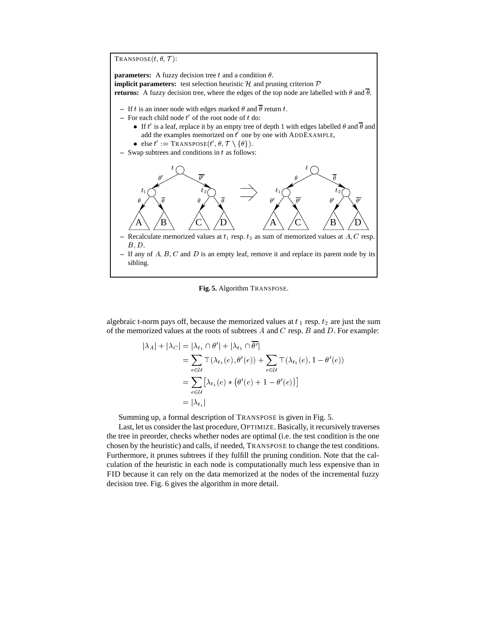$extbf{Transpose}(t, \theta, \mathcal{T})$ :

**parameters:** A fuzzy decision tree  $t$  and a condition  $\theta$ . **implicit parameters:** test selection heuristic  $H$  and pruning criterion  $P$ **returns:** A fuzzy decision tree, where the edges of the top node are labelled with  $\theta$  and  $\theta$ . - If t is an inner node with edges marked  $\theta$  and  $\overline{\theta}$  return t.  $\overline{\phantom{a}}$  For each child node  $t'$  of the root node of  $t$  do: If t' is a leaf, replace it by an empty tree of depth 1 with edges labelled  $\theta$  and  $\theta$  and  $\theta$ add the examples memorized on  $t'$  one by one with ADDEXAMPLE, • else  $t' := \text{Transpose}(t', \theta, \mathcal{T} \setminus \{\theta\}).$  $-$  Swap subtrees and conditions in  $t$  as follows:  $\, {\bf B} \setminus \, \big/ {\bf D} \,$  $\sigma$  /  $\sigma$  $\langle A \rangle$   $\langle B \rangle$   $\langle C \rangle$   $\langle D \rangle$   $\langle A \rangle$   $\langle C \rangle$   $\mathsf{C}\setminus\sqrt{\mathsf{D}}$   $-1$  ,  $-1$  ,  $-1$  ,  $-1$  ,  $-1$  ,  $-1$  ,  $-1$  ,  $-1$  ,  $-1$  ,  $-1$  ,  $-1$  ,  $-1$  ,  $-1$  ,  $-1$  ,  $-1$  ,  $-1$  ,  $-1$  ,  $-1$  ,  $-1$  ,  $-1$  ,  $-1$  ,  $-1$  ,  $-1$  ,  $-1$  ,  $-1$  ,  $-1$  ,  $-1$  ,  $-1$  ,  $-1$  ,  $-1$  ,  $-1$  ,  $-1$   $t_1$  $\sigma$  /  $\sigma$  - Recalculate memorized values at  $t_1$  resp.  $t_2$  as sum of memorized values at  $A, C$  resp.  $B, D.$  $-$  If any of  $A, B, C$  and  $D$  is an empty leaf, remove it and replace its parent node by its sibling.

**Fig. 5.** Algorithm TRANSPOSE.

algebraic t-norm pays off, because the memorized values at  $t_1$  resp.  $t_2$  are just the sum of the memorized values at the roots of subtrees  $A$  and  $C$  resp.  $B$  and  $D$ . For example:

$$
|\lambda_A| + |\lambda_C| = |\lambda_{t_1} \cap \theta'| + |\lambda_{t_1} \cap \overline{\theta'}|
$$
  
= 
$$
\sum_{e \in \mathcal{U}} \top (\lambda_{t_1}(e), \theta'(e)) + \sum_{e \in \mathcal{U}} \top (\lambda_{t_1}(e), 1 - \theta'(e))
$$
  
= 
$$
\sum_{e \in \mathcal{U}} [\lambda_{t_1}(e) * (\theta'(e) + 1 - \theta'(e))]
$$
  
= 
$$
|\lambda_{t_1}|
$$

Summing up, a formal description of TRANSPOSE is given in Fig. 5.

Last, let us consider the last procedure, OPTIMIZE. Basically, it recursively traverses the tree in preorder, checks whether nodes are optimal (i.e. the test condition is the one chosen by the heuristic) and calls, if needed, TRANSPOSE to change the test conditions. Furthermore, it prunes subtrees if they fulfill the pruning condition. Note that the calculation of the heuristic in each node is computationally much less expensive than in FID because it can rely on the data memorized at the nodes of the incremental fuzzy decision tree. Fig. 6 gives the algorithm in more detail.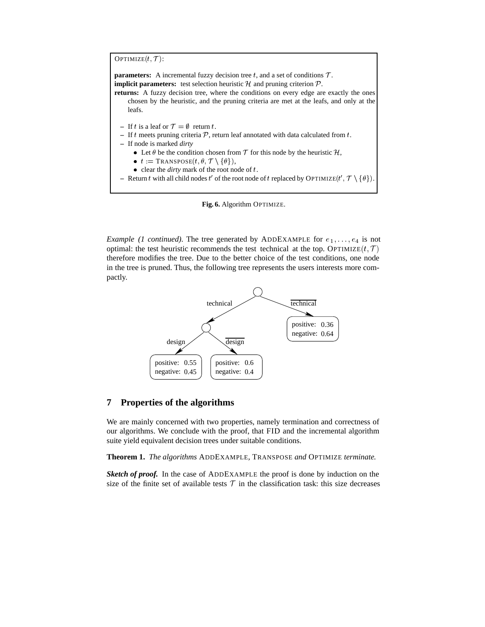

**parameters:** A incremental fuzzy decision tree  $t$ , and a set of conditions  $\mathcal{T}$ . **implicit parameters:** test selection heuristic  $H$  and pruning criterion  $P$ . **returns:** A fuzzy decision tree, where the conditions on every edge are exactly the ones chosen by the heuristic, and the pruning criteria are met at the leafs, and only at the leafs.  $-$  If *t* is a leaf or  $\mathcal{T} = \emptyset$  return *t*. - If t meets pruning criteria  $P$ , return leaf annotated with data calculated from  $t$ . **–** If node is marked *dirty* • Let  $\theta$  be the condition chosen from  $\mathcal T$  for this node by the heuristic  $\mathcal H$ , •  $t := \text{Transpose}(t, \theta, \mathcal{T} \setminus \{\theta\}),$  $\bullet$  clear the *dirty* mark of the root node of  $t$ . - Return t with all child nodes t' of the root node of t replaced by OPTIMIZE $(t', \mathcal{T} \setminus \{\theta\})$ .



*Example (1 continued)*. The tree generated by ADDEXAMPLE for  $e_1, \ldots, e_4$  is not optimal: the test heuristic recommends the test technical at the top. OPTIMIZE $(t, \mathcal{T})$ therefore modifies the tree. Due to the better choice of the test conditions, one node in the tree is pruned. Thus, the following tree represents the users interests more compactly.



### **7 Properties of the algorithms**

We are mainly concerned with two properties, namely termination and correctness of our algorithms. We conclude with the proof, that FID and the incremental algorithm suite yield equivalent decision trees under suitable conditions.

**Theorem 1.** *The algorithms* ADDEXAMPLE*,* TRANSPOSE *and* OPTIMIZE *terminate.*

*Sketch of proof.* In the case of ADDEXAMPLE the proof is done by induction on the size of the finite set of available tests  $\mathcal T$  in the classification task: this size decreases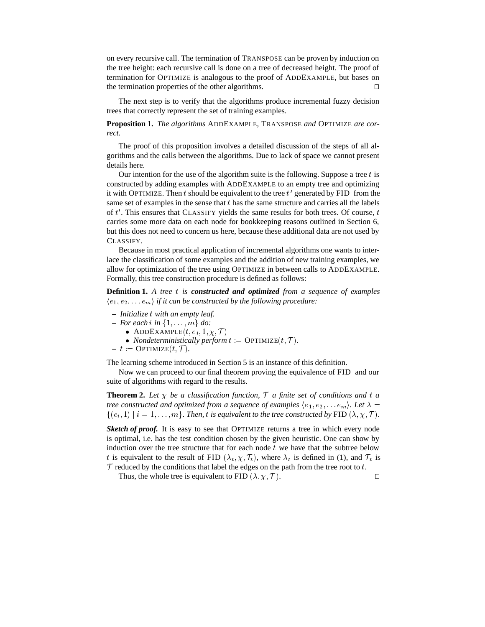on every recursive call. The termination of TRANSPOSE can be proven by induction on the tree height: each recursive call is done on a tree of decreased height. The proof of termination for OPTIMIZE is analogous to the proof of ADDEXAMPLE, but bases on the termination properties of the other algorithms.

The next step is to verify that the algorithms produce incremental fuzzy decision trees that correctly represent the set of training examples.

**Proposition 1.** *The algorithms* ADDEXAMPLE*,* TRANSPOSE *and* OPTIMIZE *are correct.*

The proof of this proposition involves a detailed discussion of the steps of all algorithms and the calls between the algorithms. Due to lack of space we cannot present details here.

Our intention for the use of the algorithm suite is the following. Suppose a tree  $t$  is constructed by adding examples with ADDEXAMPLE to an empty tree and optimizing it with OPTIMIZE. Then  $t$  should be equivalent to the tree  $t'$  generated by FID from the same set of examples in the sense that  $t$  has the same structure and carries all the labels of  $t'$ . This ensures that CLASSIFY yields the same results for both trees. Of course,  $t$ carries some more data on each node for bookkeeping reasons outlined in Section 6, but this does not need to concern us here, because these additional data are not used by CLASSIFY.

Because in most practical application of incremental algorithms one wants to interlace the classification of some examples and the addition of new training examples, we allow for optimization of the tree using OPTIMIZE in between calls to ADDEXAMPLE. Formally, this tree construction procedure is defined as follows:

**Definition 1.** *A tree is constructed and optimized from a sequence of examples*  $\langle e_1, e_2, \ldots, e_m \rangle$  *if it can be constructed by the following procedure:* 

- **–** *Initialize with an empty leaf.*
- $-$  *For each i* in  $\{1, \ldots, m\}$  *do:* 
	- ADDEXAMPLE $(t, e_i, 1, \chi, \mathcal{T})$
	- *Nondeterministically perform*  $t := \text{OPTIMIZE}(t, \mathcal{T})$ *.*
- $t := \text{OPTIMIZE}(t, \mathcal{T}).$

The learning scheme introduced in Section 5 is an instance of this definition.

Now we can proceed to our final theorem proving the equivalence of FID and our suite of algorithms with regard to the results.

**Theorem 2.** Let  $\chi$  be a classification function,  $\mathcal{T}$  a finite set of conditions and t a *tree constructed and optimized from a sequence of examples*  $\langle e_1, e_2, \ldots, e_m \rangle$ . Let  $\lambda =$  $\{(e_i, 1) \mid i = 1, \ldots, m\}$ . Then, t is equivalent to the tree constructed by FID  $(\lambda, \chi, \mathcal{T})$ .

*Sketch of proof.* It is easy to see that OPTIMIZE returns a tree in which every node is optimal, i.e. has the test condition chosen by the given heuristic. One can show by induction over the tree structure that for each node  $t$  we have that the subtree below t is equivalent to the result of FID  $(\lambda_t, \chi, \mathcal{T}_t)$ , where  $\lambda_t$  is defined in (1), and  $\mathcal{T}_t$  is  $\mathcal T$  reduced by the conditions that label the edges on the path from the tree root to  $t$ .

Thus, the whole tree is equivalent to FID  $(\lambda, \chi, \mathcal{T})$ .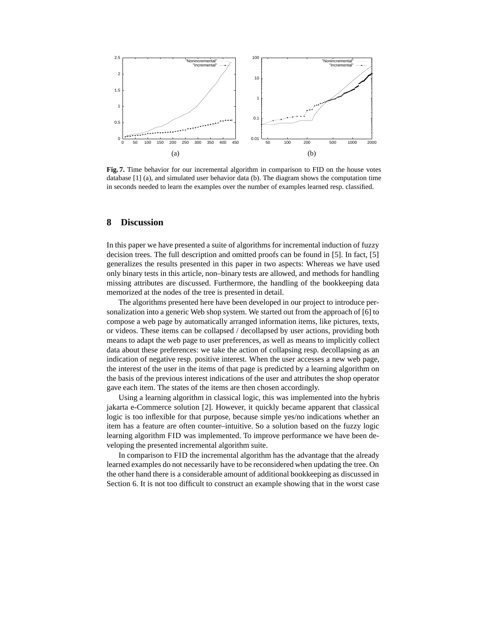

**Fig. 7.** Time behavior for our incremental algorithm in comparison to FID on the house votes database [1] (a), and simulated user behavior data (b). The diagram shows the computation time in seconds needed to learn the examples over the number of examples learned resp. classified.

### **8 Discussion**

In this paper we have presented a suite of algorithms for incremental induction of fuzzy decision trees. The full description and omitted proofs can be found in [5]. In fact, [5] generalizes the results presented in this paper in two aspects: Whereas we have used only binary tests in this article, non–binary tests are allowed, and methods for handling missing attributes are discussed. Furthermore, the handling of the bookkeeping data memorized at the nodes of the tree is presented in detail.

The algorithms presented here have been developed in our project to introduce personalization into a generic Web shop system. We started out from the approach of [6] to compose a web page by automatically arranged information items, like pictures, texts, or videos. These items can be collapsed / decollapsed by user actions, providing both means to adapt the web page to user preferences, as well as means to implicitly collect data about these preferences: we take the action of collapsing resp. decollapsing as an indication of negative resp. positive interest. When the user accesses a new web page, the interest of the user in the items of that page is predicted by a learning algorithm on the basis of the previous interest indications of the user and attributes the shop operator gave each item. The states of the items are then chosen accordingly.

Using a learning algorithm in classical logic, this was implemented into the hybris jakarta e-Commerce solution [2]. However, it quickly became apparent that classical logic is too inflexible for that purpose, because simple yes/no indications whether an item has a feature are often counter–intuitive. So a solution based on the fuzzy logic learning algorithm FID was implemented. To improve performance we have been developing the presented incremental algorithm suite.

In comparison to FID the incremental algorithm has the advantage that the already learned examples do not necessarily have to be reconsidered when updating the tree. On the other hand there is a considerable amount of additional bookkeeping as discussed in Section 6. It is not too difficult to construct an example showing that in the worst case